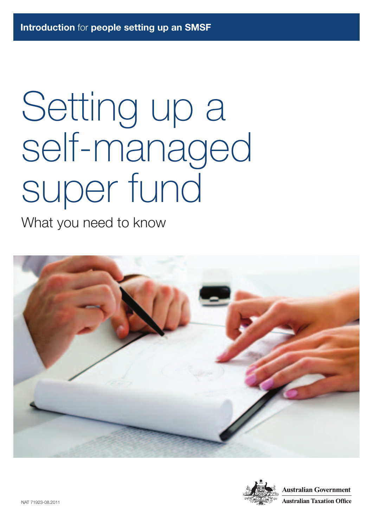# Setting up a self-managed super fund

What you need to know



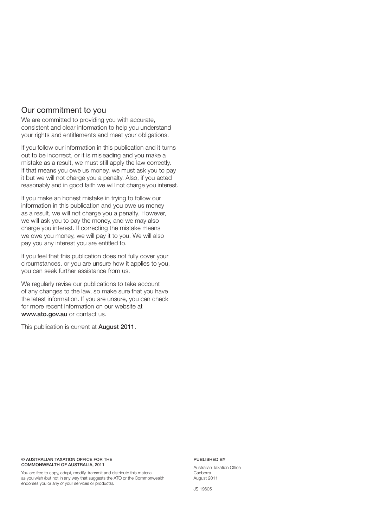#### Our commitment to you

We are committed to providing you with accurate, consistent and clear information to help you understand your rights and entitlements and meet your obligations.

If you follow our information in this publication and it turns out to be incorrect, or it is misleading and you make a mistake as a result, we must still apply the law correctly. If that means you owe us money, we must ask you to pay it but we will not charge you a penalty. Also, if you acted reasonably and in good faith we will not charge you interest.

If you make an honest mistake in trying to follow our information in this publication and you owe us money as a result, we will not charge you a penalty. However, we will ask you to pay the money, and we may also charge you interest. If correcting the mistake means we owe you money, we will pay it to you. We will also pay you any interest you are entitled to.

If you feel that this publication does not fully cover your circumstances, or you are unsure how it applies to you, you can seek further assistance from us.

We regularly revise our publications to take account of any changes to the law, so make sure that you have the latest information. If you are unsure, you can check for more recent information on our website at **www.ato.gov.au** or contact us.

This publication is current at **August 2011**.

#### **© AUSTRALIAN TAXATION OFFICE FOR THE COMMONWEALTH OF AUSTRALIA, 2011**

You are free to copy, adapt, modify, transmit and distribute this material as you wish (but not in any way that suggests the ATO or the Commonwealth endorses you or any of your services or products).

#### **PUBLISHED BY**

Australian Taxation Office Canberra August 2011

JS 19605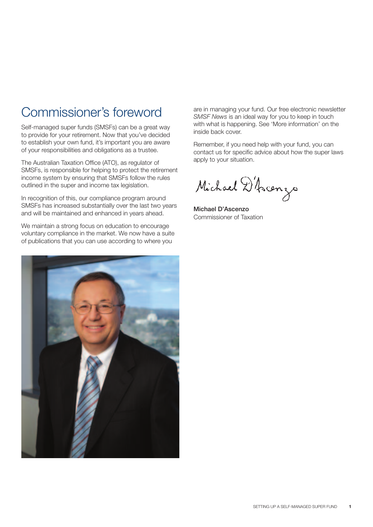### Commissioner's foreword

Self-managed super funds (SMSFs) can be a great way to provide for your retirement. Now that you've decided to establish your own fund, it's important you are aware of your responsibilities and obligations as a trustee.

The Australian Taxation Office (ATO), as regulator of SMSFs, is responsible for helping to protect the retirement income system by ensuring that SMSFs follow the rules outlined in the super and income tax legislation.

In recognition of this, our compliance program around SMSFs has increased substantially over the last two years and will be maintained and enhanced in years ahead.

We maintain a strong focus on education to encourage voluntary compliance in the market. We now have a suite of publications that you can use according to where you



are in managing your fund. Our free electronic newsletter *SMSF News* is an ideal way for you to keep in touch with what is happening. See 'More information' on the inside back cover.

Remember, if you need help with your fund, you can contact us for specific advice about how the super laws apply to your situation.

Michael D'Acenzo

**Michael D'Ascenzo** Commissioner of Taxation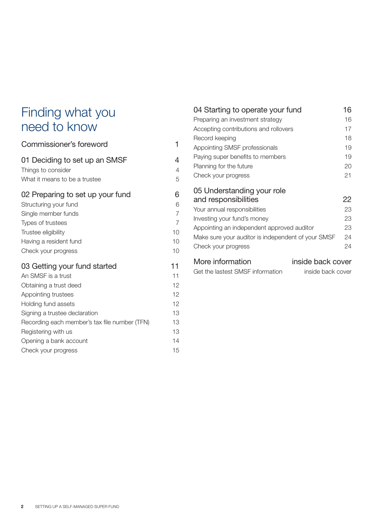### Finding what you need to know

### Commissioner's foreword 1 01 Deciding to set up an SMSF 4 Things to consider 4 What it means to be a trustee  $5$ 02 Preparing to set up your fund 6 Structuring your fund 6 Single member funds 7 Types of trustees 7 Trustee eligibility 10 Having a resident fund 10 Check your progress 10 03 Getting your fund started 11 An SMSF is a trust 11 Obtaining a trust deed 12 Appointing trustees 12 Holding fund assets 12 Signing a trustee declaration 13 Recording each member's tax file number (TFN) 13 Registering with us 13 Opening a bank account 14 Check your progress and the control of the check of the control of the check of the check of the check of the check of the check of the check of the check of the check of the check of the check of the check of the check of

| 04 Starting to operate your fund                                                                                                                                                                                                             | 16                               |
|----------------------------------------------------------------------------------------------------------------------------------------------------------------------------------------------------------------------------------------------|----------------------------------|
| Preparing an investment strategy                                                                                                                                                                                                             | 16                               |
| Accepting contributions and rollovers                                                                                                                                                                                                        | 17                               |
| Record keeping                                                                                                                                                                                                                               | 18                               |
| Appointing SMSF professionals                                                                                                                                                                                                                | 19                               |
| Paying super benefits to members                                                                                                                                                                                                             | 19                               |
| Planning for the future                                                                                                                                                                                                                      | 20                               |
| Check your progress                                                                                                                                                                                                                          | 21                               |
| 05 Understanding your role<br>and responsibilities<br>Your annual responsibilities<br>Investing your fund's money<br>Appointing an independent approved auditor<br>Make sure your auditor is independent of your SMSF<br>Check your progress | 22<br>23<br>23<br>23<br>24<br>24 |
| More information<br>inside back cover                                                                                                                                                                                                        |                                  |

| Get the lastest SMSF information | inside back cover |
|----------------------------------|-------------------|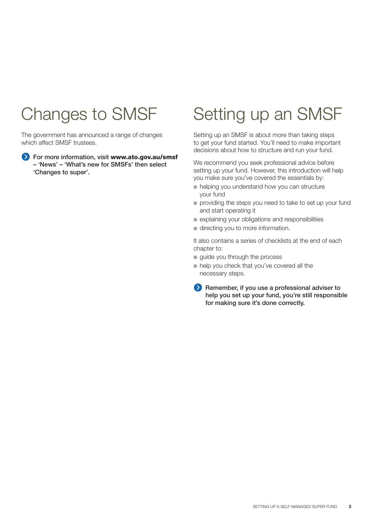## Changes to SMSF

The government has announced a range of changes which affect SMSF trustees.

**For more information, visit www.ato.gov.au/smsf – 'News' – 'What's new for SMSFs' then select 'Changes to super'.**

### Setting up an SMSF

Setting up an SMSF is about more than taking steps to get your fund started. You'll need to make important decisions about how to structure and run your fund.

We recommend you seek professional advice before setting up your fund. However, this introduction will help you make sure you've covered the essentials by:

- helping you understand how you can structure your fund
- providing the steps you need to take to set up your fund and start operating it
- explaining your obligations and responsibilities
- directing you to more information.

It also contains a series of checklists at the end of each chapter to:

- guide you through the process
- help you check that you've covered all the necessary steps.
- **Remember, if you use a professional adviser to help you set up your fund, you're still responsible for making sure it's done correctly.**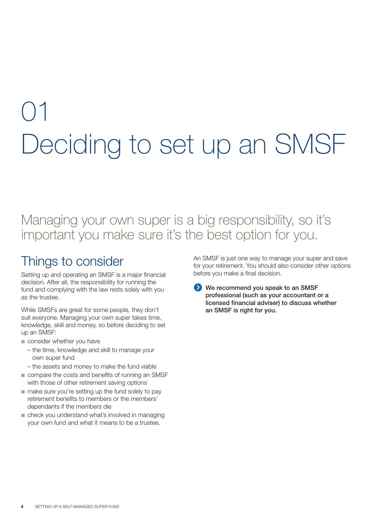## 01 Deciding to set up an SMSF

### Managing your own super is a big responsibility, so it's important you make sure it's the best option for you.

### Things to consider

Setting up and operating an SMSF is a major financial decision. After all, the responsibility for running the fund and complying with the law rests solely with you as the trustee.

While SMSFs are great for some people, they don't suit everyone. Managing your own super takes time, knowledge, skill and money, so before deciding to set up an SMSF:

- consider whether you have
	- the time, knowledge and skill to manage your own super fund
	- the assets and money to make the fund viable
- compare the costs and benefits of running an SMSF with those of other retirement saving options
- make sure you're setting up the fund solely to pay retirement benefits to members or the members' dependants if the members die
- check you understand what's involved in managing your own fund and what it means to be a trustee.

An SMSF is just one way to manage your super and save for your retirement. You should also consider other options before you make a final decision.

**EXAMPLE 20 We recommend you speak to an SMSF professional (such as your accountant or a licensed financial adviser) to discuss whether an SMSF is right for you.**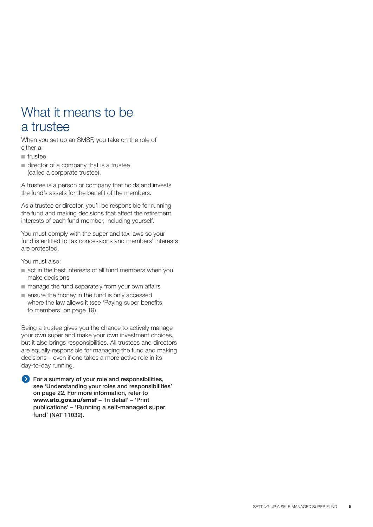### What it means to be a trustee

When you set up an SMSF, you take on the role of either a:

- trustee
- director of a company that is a trustee (called a corporate trustee).

A trustee is a person or company that holds and invests the fund's assets for the benefit of the members.

As a trustee or director, you'll be responsible for running the fund and making decisions that affect the retirement interests of each fund member, including yourself.

You must comply with the super and tax laws so your fund is entitled to tax concessions and members' interests are protected.

You must also:

- act in the best interests of all fund members when you make decisions
- manage the fund separately from your own affairs
- ensure the money in the fund is only accessed where the law allows it (see 'Paying super benefits to members' on page 19).

Being a trustee gives you the chance to actively manage your own super and make your own investment choices, but it also brings responsibilities. All trustees and directors are equally responsible for managing the fund and making decisions – even if one takes a more active role in its day-to-day running.

**EX** For a summary of your role and responsibilities, **see 'Understanding your roles and responsibilities' on page 22. For more information, refer to www.ato.gov.au/smsf – 'In detail' – 'Print publications' – 'Running a self-managed super fund' (NAT 11032).**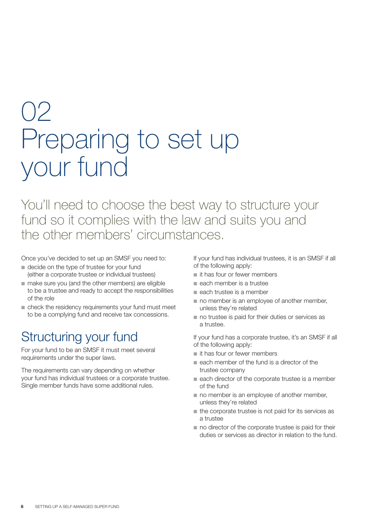## 02 Preparing to set up your fund

You'll need to choose the best way to structure your fund so it complies with the law and suits you and the other members' circumstances.

Once you've decided to set up an SMSF you need to:

- decide on the type of trustee for your fund (either a corporate trustee or individual trustees)
- make sure you (and the other members) are eligible to be a trustee and ready to accept the responsibilities of the role
- check the residency requirements your fund must meet to be a complying fund and receive tax concessions.

### Structuring your fund

For your fund to be an SMSF it must meet several requirements under the super laws.

The requirements can vary depending on whether your fund has individual trustees or a corporate trustee. Single member funds have some additional rules.

If your fund has individual trustees, it is an SMSF if all of the following apply:

- it has four or fewer members
- each member is a trustee
- each trustee is a member
- no member is an employee of another member, unless they're related
- no trustee is paid for their duties or services as a trustee.

If your fund has a corporate trustee, it's an SMSF if all of the following apply:

- it has four or fewer members
- each member of the fund is a director of the trustee company
- each director of the corporate trustee is a member of the fund
- no member is an employee of another member, unless they're related
- the corporate trustee is not paid for its services as a trustee
- no director of the corporate trustee is paid for their duties or services as director in relation to the fund.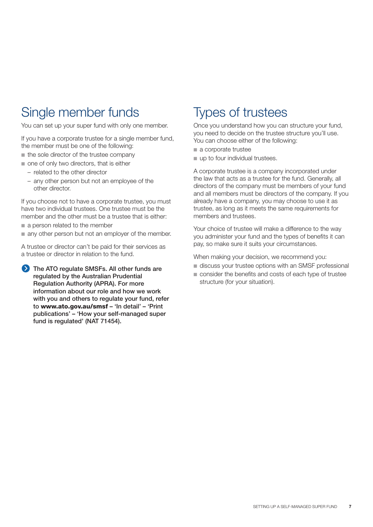### Single member funds

You can set up your super fund with only one member.

If you have a corporate trustee for a single member fund, the member must be one of the following:

- the sole director of the trustee company
- one of only two directors, that is either
	- related to the other director
	- any other person but not an employee of the other director.

If you choose not to have a corporate trustee, you must have two individual trustees. One trustee must be the member and the other must be a trustee that is either:

- a person related to the member
- any other person but not an employer of the member.

A trustee or director can't be paid for their services as a trustee or director in relation to the fund.

**The ATO regulate SMSFs. All other funds are regulated by the Australian Prudential Regulation Authority (APRA). For more information about our role and how we work with you and others to regulate your fund, refer to www.ato.gov.au/smsf – 'In detail' – 'Print publications' – 'How your self-managed super fund is regulated' (NAT 71454).** 

### Types of trustees

Once you understand how you can structure your fund, you need to decide on the trustee structure you'll use. You can choose either of the following:

- a corporate trustee
- up to four individual trustees.

A corporate trustee is a company incorporated under the law that acts as a trustee for the fund. Generally, all directors of the company must be members of your fund and all members must be directors of the company. If you already have a company, you may choose to use it as trustee, as long as it meets the same requirements for members and trustees.

Your choice of trustee will make a difference to the way you administer your fund and the types of benefits it can pay, so make sure it suits your circumstances.

When making your decision, we recommend you:

- discuss your trustee options with an SMSF professional
- consider the benefits and costs of each type of trustee structure (for your situation).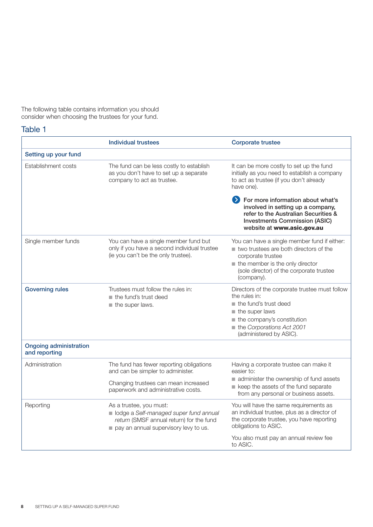The following table contains information you should consider when choosing the trustees for your fund.

#### Table 1

|                                                | <b>Individual trustees</b>                                                                                                                                   | <b>Corporate trustee</b>                                                                                                                                                                                                               |
|------------------------------------------------|--------------------------------------------------------------------------------------------------------------------------------------------------------------|----------------------------------------------------------------------------------------------------------------------------------------------------------------------------------------------------------------------------------------|
| Setting up your fund                           |                                                                                                                                                              |                                                                                                                                                                                                                                        |
| Establishment costs                            | The fund can be less costly to establish<br>as you don't have to set up a separate<br>company to act as trustee.                                             | It can be more costly to set up the fund<br>initially as you need to establish a company<br>to act as trustee (if you don't already<br>have one).                                                                                      |
|                                                |                                                                                                                                                              | > For more information about what's<br>involved in setting up a company,<br>refer to the Australian Securities &<br><b>Investments Commission (ASIC)</b><br>website at www.asic.gov.au                                                 |
| Single member funds                            | You can have a single member fund but<br>only if you have a second individual trustee<br>(ie you can't be the only trustee).                                 | You can have a single member fund if either:<br>$\blacksquare$ two trustees are both directors of the<br>corporate trustee<br>$\blacksquare$ the member is the only director<br>(sole director) of the corporate trustee<br>(company). |
| <b>Governing rules</b>                         | Trustees must follow the rules in:<br>$\blacksquare$ the fund's trust deed<br>$\blacksquare$ the super laws.                                                 | Directors of the corporate trustee must follow<br>the rules in:<br>the fund's trust deed<br>the super laws<br>the company's constitution<br>the Corporations Act 2001<br>(administered by ASIC).                                       |
| <b>Ongoing administration</b><br>and reporting |                                                                                                                                                              |                                                                                                                                                                                                                                        |
| Administration                                 | The fund has fewer reporting obligations<br>and can be simpler to administer.<br>Changing trustees can mean increased<br>paperwork and administrative costs. | Having a corporate trustee can make it<br>easier to:<br>administer the ownership of fund assets<br>keep the assets of the fund separate<br>from any personal or business assets.                                                       |
| Reporting                                      | As a trustee, you must:<br>olodge a Self-managed super fund annual<br>return (SMSF annual return) for the fund<br>pay an annual supervisory levy to us.      | You will have the same requirements as<br>an individual trustee, plus as a director of<br>the corporate trustee, you have reporting<br>obligations to ASIC.<br>You also must pay an annual review fee<br>to ASIC.                      |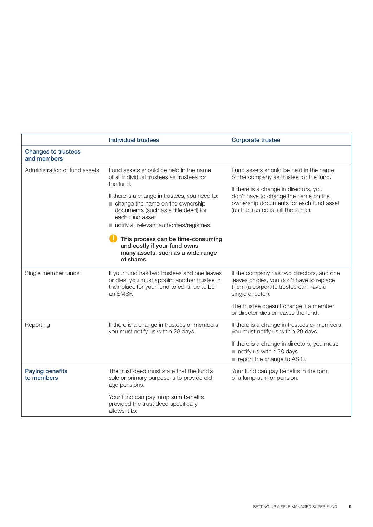|                                           | <b>Individual trustees</b>                                                                                                                                                                                                                                                                                                                                                                                                 | <b>Corporate trustee</b>                                                                                                                                                                                                                              |
|-------------------------------------------|----------------------------------------------------------------------------------------------------------------------------------------------------------------------------------------------------------------------------------------------------------------------------------------------------------------------------------------------------------------------------------------------------------------------------|-------------------------------------------------------------------------------------------------------------------------------------------------------------------------------------------------------------------------------------------------------|
| <b>Changes to trustees</b><br>and members |                                                                                                                                                                                                                                                                                                                                                                                                                            |                                                                                                                                                                                                                                                       |
| Administration of fund assets             | Fund assets should be held in the name<br>of all individual trustees as trustees for<br>the fund.<br>If there is a change in trustees, you need to:<br>change the name on the ownership<br>documents (such as a title deed) for<br>each fund asset<br>notify all relevant authorities/registries.<br>This process can be time-consuming<br>and costly if your fund owns<br>many assets, such as a wide range<br>of shares. | Fund assets should be held in the name<br>of the company as trustee for the fund.<br>If there is a change in directors, you<br>don't have to change the name on the<br>ownership documents for each fund asset<br>(as the trustee is still the same). |
| Single member funds                       | If your fund has two trustees and one leaves<br>or dies, you must appoint another trustee in<br>their place for your fund to continue to be<br>an SMSF.                                                                                                                                                                                                                                                                    | If the company has two directors, and one<br>leaves or dies, you don't have to replace<br>them (a corporate trustee can have a<br>single director).<br>The trustee doesn't change if a member<br>or director dies or leaves the fund.                 |
| Reporting                                 | If there is a change in trustees or members<br>you must notify us within 28 days.                                                                                                                                                                                                                                                                                                                                          | If there is a change in trustees or members<br>you must notify us within 28 days.<br>If there is a change in directors, you must:<br>notify us within 28 days<br>report the change to ASIC.                                                           |
| <b>Paying benefits</b><br>to members      | The trust deed must state that the fund's<br>sole or primary purpose is to provide old<br>age pensions.<br>Your fund can pay lump sum benefits<br>provided the trust deed specifically<br>allows it to.                                                                                                                                                                                                                    | Your fund can pay benefits in the form<br>of a lump sum or pension.                                                                                                                                                                                   |
|                                           |                                                                                                                                                                                                                                                                                                                                                                                                                            |                                                                                                                                                                                                                                                       |

 $\overline{1}$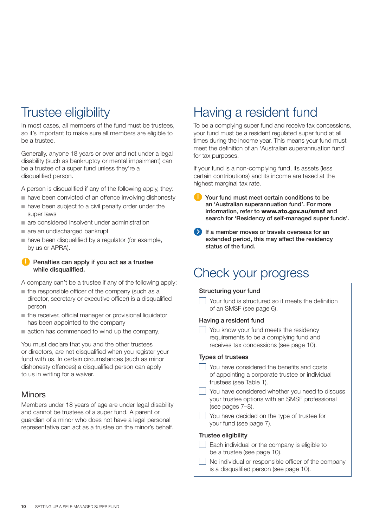### Trustee eligibility

In most cases, all members of the fund must be trustees, so it's important to make sure all members are eligible to be a trustee.

Generally, anyone 18 years or over and not under a legal disability (such as bankruptcy or mental impairment) can be a trustee of a super fund unless they're a disqualified person.

A person is disqualified if any of the following apply, they:

- have been convicted of an offence involving dishonesty ■ have been subject to a civil penalty order under the
- super laws
- are considered insolvent under administration
- are an undischarged bankrupt
- have been disqualified by a regulator (for example, by us or APRA).

#### **Penalties can apply if you act as a trustee while disqualified.**

A company can't be a trustee if any of the following apply:

- the responsible officer of the company (such as a director, secretary or executive officer) is a disqualified person
- the receiver, official manager or provisional liquidator has been appointed to the company
- action has commenced to wind up the company.

You must declare that you and the other trustees or directors, are not disqualified when you register your fund with us. In certain circumstances (such as minor dishonesty offences) a disqualified person can apply to us in writing for a waiver.

#### **Minors**

Members under 18 years of age are under legal disability and cannot be trustees of a super fund. A parent or guardian of a minor who does not have a legal personal representative can act as a trustee on the minor's behalf.

### Having a resident fund

To be a complying super fund and receive tax concessions, your fund must be a resident regulated super fund at all times during the income year. This means your fund must meet the definition of an 'Australian superannuation fund' for tax purposes.

If your fund is a non-complying fund, its assets (less certain contributions) and its income are taxed at the highest marginal tax rate.

- **Your fund must meet certain conditions to be an 'Australian superannuation fund'. For more information, refer to www.ato.gov.au/smsf and search for 'Residency of self-managed super funds'.**
- **1** If a member moves or travels overseas for an **extended period, this may affect the residency status of the fund.**

### Check your progress

#### **Structuring your fund**

 $\Box$  Your fund is structured so it meets the definition of an SMSF (see page 6).

#### **Having a resident fund**

 $\vert \ \vert$  You know your fund meets the residency requirements to be a complying fund and receives tax concessions (see page 10).

#### **Types of trustees**

You have considered the benefits and costs of appointing a corporate trustee or individual trustees (see Table 1).

You have considered whether you need to discuss your trustee options with an SMSF professional (see pages 7–8).

 $\Box$  You have decided on the type of trustee for your fund (see page 7).

#### **Trustee eligibility**

- $\Box$  Each individual or the company is eligible to be a trustee (see page 10).
	- No individual or responsible officer of the company is a disqualified person (see page 10).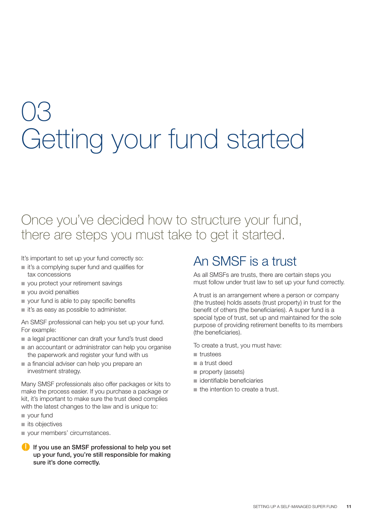## 03 Getting your fund started

### Once you've decided how to structure your fund, there are steps you must take to get it started.

It's important to set up your fund correctly so:

- it's a complying super fund and qualifies for tax concessions
- you protect your retirement savings
- you avoid penalties
- your fund is able to pay specific benefits
- it's as easy as possible to administer.

An SMSF professional can help you set up your fund. For example:

- a legal practitioner can draft your fund's trust deed
- an accountant or administrator can help you organise the paperwork and register your fund with us
- a financial adviser can help you prepare an investment strategy.

Many SMSF professionals also offer packages or kits to make the process easier. If you purchase a package or kit, it's important to make sure the trust deed complies with the latest changes to the law and is unique to:

- your fund
- its objectives
- **vour members' circumstances.**
- **If you use an SMSF professional to help you set up your fund, you're still responsible for making sure it's done correctly.**

### An SMSF is a trust

As all SMSFs are trusts, there are certain steps you must follow under trust law to set up your fund correctly.

A trust is an arrangement where a person or company (the trustee) holds assets (trust property) in trust for the benefit of others (the beneficiaries). A super fund is a special type of trust, set up and maintained for the sole purpose of providing retirement benefits to its members (the beneficiaries).

To create a trust, you must have:

- trustees
- a trust deed
- property (assets)
- identifiable beneficiaries
- the intention to create a trust.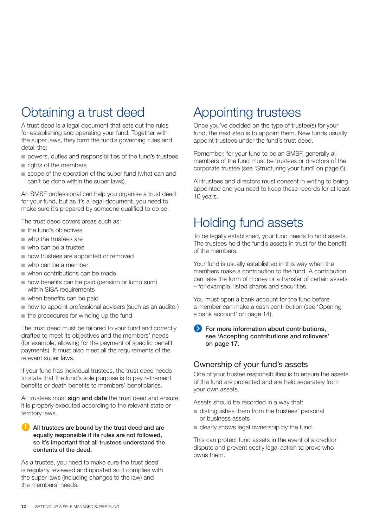### Obtaining a trust deed

A trust deed is a legal document that sets out the rules for establishing and operating your fund. Together with the super laws, they form the fund's governing rules and detail the:

- powers, duties and responsibilities of the fund's trustees
- rights of the members
- scope of the operation of the super fund (what can and can't be done within the super laws).

An SMSF professional can help you organise a trust deed for your fund, but as it's a legal document, you need to make sure it's prepared by someone qualified to do so.

The trust deed covers areas such as:

- the fund's objectives
- who the trustees are
- who can be a trustee
- how trustees are appointed or removed
- who can be a member
- when contributions can be made
- how benefits can be paid (pension or lump sum) within SISA requirements
- when benefits can be paid
- how to appoint professional advisers (such as an auditor)
- the procedures for winding up the fund.

The trust deed must be tailored to your fund and correctly drafted to meet its objectives and the members' needs (for example, allowing for the payment of specific benefit payments). It must also meet all the requirements of the relevant super laws.

If your fund has individual trustees, the trust deed needs to state that the fund's sole purpose is to pay retirement benefits or death benefits to members' beneficiaries.

All trustees must **sign and date** the trust deed and ensure it is properly executed according to the relevant state or territory laws.

#### **All trustees are bound by the trust deed and are equally responsible if its rules are not followed, so it's important that all trustees understand the contents of the deed.**

As a trustee, you need to make sure the trust deed is regularly reviewed and updated so it complies with the super laws (including changes to the law) and the members' needs.

### Appointing trustees

Once you've decided on the type of trustee(s) for your fund, the next step is to appoint them. New funds usually appoint trustees under the fund's trust deed.

Remember, for your fund to be an SMSF, generally all members of the fund must be trustees or directors of the corporate trustee (see 'Structuring your fund' on page 6).

All trustees and directors must consent in writing to being appointed and you need to keep these records for at least 10 years.

### Holding fund assets

To be legally established, your fund needs to hold assets. The trustees hold the fund's assets in trust for the benefit of the members.

Your fund is usually established in this way when the members make a contribution to the fund. A contribution can take the form of money or a transfer of certain assets – for example, listed shares and securities.

You must open a bank account for the fund before a member can make a cash contribution (see 'Opening a bank account' on page 14).

#### **For more information about contributions. see 'Accepting contributions and rollovers' on page 17.**

#### Ownership of your fund's assets

One of your trustee responsibilities is to ensure the assets of the fund are protected and are held separately from your own assets.

Assets should be recorded in a way that:

- distinguishes them from the trustees' personal or business assets
- clearly shows legal ownership by the fund.

This can protect fund assets in the event of a creditor dispute and prevent costly legal action to prove who owns them.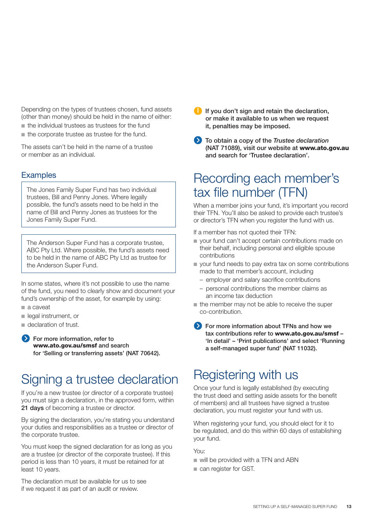Depending on the types of trustees chosen, fund assets (other than money) should be held in the name of either:

- the individual trustees as trustees for the fund
- the corporate trustee as trustee for the fund.

The assets can't be held in the name of a trustee or member as an individual.

#### **Examples**

The Jones Family Super Fund has two individual trustees, Bill and Penny Jones. Where legally possible, the fund's assets need to be held in the name of Bill and Penny Jones as trustees for the Jones Family Super Fund.

The Anderson Super Fund has a corporate trustee, ABC Pty Ltd. Where possible, the fund's assets need to be held in the name of ABC Pty Ltd as trustee for the Anderson Super Fund.

In some states, where it's not possible to use the name of the fund, you need to clearly show and document your fund's ownership of the asset, for example by using:

- a caveat
- legal instrument, or
- declaration of trust.

 **For more information, refer to www.ato.gov.au/smsf and search for 'Selling or transferring assets' (NAT 70642).**

### Signing a trustee declaration

If you're a new trustee (or director of a corporate trustee) you must sign a declaration, in the approved form, within **21 days** of becoming a trustee or director.

By signing the declaration, you're stating you understand your duties and responsibilities as a trustee or director of the corporate trustee.

You must keep the signed declaration for as long as you are a trustee (or director of the corporate trustee). If this period is less than 10 years, it must be retained for at least 10 years.

The declaration must be available for us to see if we request it as part of an audit or review.

- **If you don't sign and retain the declaration, or make it available to us when we request it, penalties may be imposed.**
- **To obtain a copy of the** *Trustee declaration* **(NAT 71089), visit our website at www.ato.gov.au and search for 'Trustee declaration'.**

### Recording each member's tax file number (TFN)

When a member joins your fund, it's important you record their TFN. You'll also be asked to provide each trustee's or director's TFN when you register the fund with us.

If a member has not quoted their TFN:

- your fund can't accept certain contributions made on their behalf, including personal and eligible spouse contributions
- your fund needs to pay extra tax on some contributions made to that member's account, including
	- employer and salary sacrifice contributions
	- personal contributions the member claims as an income tax deduction
- the member may not be able to receive the super co-contribution.
- **EXECUTE:** For more information about TFNs and how we **tax contributions refer to www.ato.gov.au/smsf – 'In detail' – 'Print publications' and select 'Running a self-managed super fund' (NAT 11032).**

### Registering with us

Once your fund is legally established (by executing the trust deed and setting aside assets for the benefit of members) and all trustees have signed a trustee declaration, you must register your fund with us.

When registering your fund, you should elect for it to be regulated, and do this within 60 days of establishing your fund.

You:

- will be provided with a TFN and ABN
- can register for GST.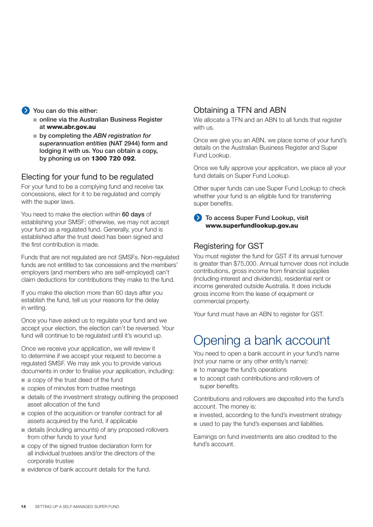#### **EXECUTE:** You can do this either:

- online via the Australian Business Register **at www.abr.gov.au**
- by completing the *ABN registration for superannuation entities* **(NAT 2944) form and lodging it with us. You can obtain a copy, by phoning us on 1300 720 092.**

#### Electing for your fund to be regulated

For your fund to be a complying fund and receive tax concessions, elect for it to be regulated and comply with the super laws.

You need to make the election within **60 days** of establishing your SMSF; otherwise, we may not accept your fund as a regulated fund. Generally, your fund is established after the trust deed has been signed and the first contribution is made.

Funds that are not regulated are not SMSFs. Non-regulated funds are not entitled to tax concessions and the members' employers (and members who are self-employed) can't claim deductions for contributions they make to the fund.

If you make the election more than 60 days after you establish the fund, tell us your reasons for the delay in writing.

Once you have asked us to regulate your fund and we accept your election, the election can't be reversed. Your fund will continue to be regulated until it's wound up.

Once we receive your application, we will review it to determine if we accept your request to become a regulated SMSF. We may ask you to provide various documents in order to finalise your application, including:

- a copy of the trust deed of the fund
- copies of minutes from trustee meetings
- details of the investment strategy outlining the proposed asset allocation of the fund
- copies of the acquisition or transfer contract for all assets acquired by the fund, if applicable
- details (including amounts) of any proposed rollovers from other funds to your fund
- copy of the signed trustee declaration form for all individual trustees and/or the directors of the corporate trustee
- evidence of bank account details for the fund.

#### Obtaining a TFN and ABN

We allocate a TFN and an ABN to all funds that register with us.

Once we give you an ABN, we place some of your fund's details on the Australian Business Register and Super Fund Lookup.

Once we fully approve your application, we place all your fund details on Super Fund Lookup.

Other super funds can use Super Fund Lookup to check whether your fund is an eligible fund for transferring super benefits.

**B** To access Super Fund Lookup, visit **www.superfundlookup.gov.au**

#### Registering for GST

You must register the fund for GST if its annual turnover is greater than \$75,000. Annual turnover does not include contributions, gross income from financial supplies (including interest and dividends), residential rent or income generated outside Australia. It does include gross income from the lease of equipment or commercial property.

Your fund must have an ABN to register for GST.

### Opening a bank account

You need to open a bank account in your fund's name (not your name or any other entity's name):

- to manage the fund's operations
- to accept cash contributions and rollovers of super benefits.

Contributions and rollovers are deposited into the fund's account. The money is:

- invested, according to the fund's investment strategy
- used to pay the fund's expenses and liabilities.

Earnings on fund investments are also credited to the fund's account.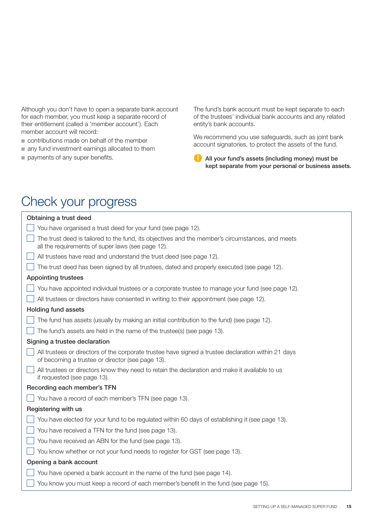Although you don't have to open a separate bank account for each member, you must keep a separate record of their entitlement (called a 'member account'). Each member account will record:

- contributions made on behalf of the member
- any fund investment earnings allocated to them
- payments of any super benefits.

The fund's bank account must be kept separate to each of the trustees' individual bank accounts and any related entity's bank accounts.

We recommend you use safeguards, such as joint bank account signatories, to protect the assets of the fund.

**All your fund's assets (including money) must be kept separate from your personal or business assets.**

### Check your progress

| Obtaining a trust deed                                                                                                                                  |
|---------------------------------------------------------------------------------------------------------------------------------------------------------|
| You have organised a trust deed for your fund (see page 12).                                                                                            |
| The trust deed is tailored to the fund, its objectives and the member's circumstances, and meets<br>all the requirements of super laws (see page 12).   |
| All trustees have read and understand the trust deed (see page 12).                                                                                     |
| The trust deed has been signed by all trustees, dated and properly executed (see page 12).                                                              |
| <b>Appointing trustees</b>                                                                                                                              |
| You have appointed individual trustees or a corporate trustee to manage your fund (see page 12).                                                        |
| All trustees or directors have consented in writing to their appointment (see page 12).                                                                 |
| <b>Holding fund assets</b>                                                                                                                              |
| The fund has assets (usually by making an initial contribution to the fund) (see page 12).                                                              |
| The fund's assets are held in the name of the trustee(s) (see page 13).                                                                                 |
| Signing a trustee declaration                                                                                                                           |
| All trustees or directors of the corporate trustee have signed a trustee declaration within 21 days<br>of becoming a trustee or director (see page 13). |
| All trustees or directors know they need to retain the declaration and make it available to us<br>if requested (see page 13).                           |
| Recording each member's TFN                                                                                                                             |
| You have a record of each member's TFN (see page 13).                                                                                                   |
| Registering with us                                                                                                                                     |
| You have elected for your fund to be regulated within 60 days of establishing it (see page 13).                                                         |
| You have received a TFN for the fund (see page 13).                                                                                                     |
| You have received an ABN for the fund (see page 13).                                                                                                    |
| You know whether or not your fund needs to register for GST (see page 13).                                                                              |
| Opening a bank account                                                                                                                                  |
| You have opened a bank account in the name of the fund (see page 14).                                                                                   |
| You know you must keep a record of each member's benefit in the fund (see page 15).                                                                     |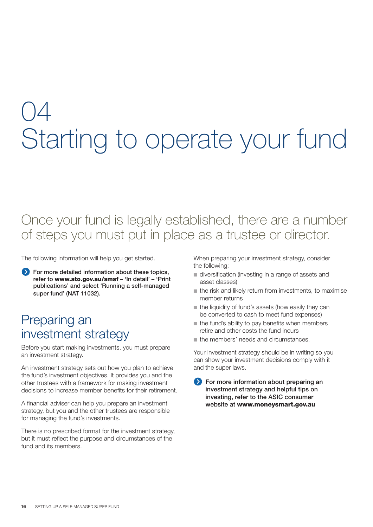## 04 Starting to operate your fund

### Once your fund is legally established, there are a number of steps you must put in place as a trustee or director.

The following information will help you get started.

 **For more detailed information about these topics, refer to www.ato.gov.au/smsf – 'In detail' – 'Print publications' and select 'Running a self-managed super fund' (NAT 11032).**

### Preparing an investment strategy

Before you start making investments, you must prepare an investment strategy.

An investment strategy sets out how you plan to achieve the fund's investment objectives. It provides you and the other trustees with a framework for making investment decisions to increase member benefits for their retirement.

A financial adviser can help you prepare an investment strategy, but you and the other trustees are responsible for managing the fund's investments.

There is no prescribed format for the investment strategy, but it must reflect the purpose and circumstances of the fund and its members.

When preparing your investment strategy, consider the following:

- diversification (investing in a range of assets and asset classes)
- the risk and likely return from investments, to maximise member returns
- the liquidity of fund's assets (how easily they can be converted to cash to meet fund expenses)
- the fund's ability to pay benefits when members retire and other costs the fund incurs
- the members' needs and circumstances.

Your investment strategy should be in writing so you can show your investment decisions comply with it and the super laws.

**For more information about preparing an investment strategy and helpful tips on investing, refer to the ASIC consumer website at www.moneysmart.gov.au**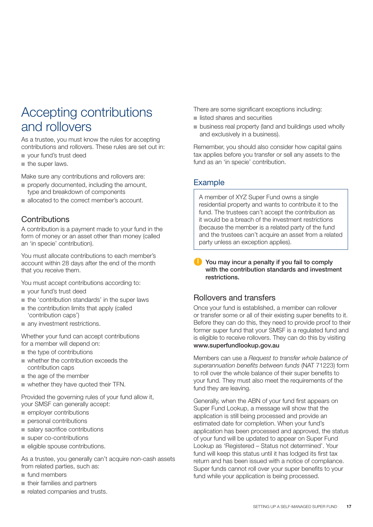### Accepting contributions and rollovers

As a trustee, you must know the rules for accepting contributions and rollovers. These rules are set out in:

- your fund's trust deed
- the super laws.

Make sure any contributions and rollovers are:

- properly documented, including the amount, type and breakdown of components
- allocated to the correct member's account.

#### **Contributions**

A contribution is a payment made to your fund in the form of money or an asset other than money (called an 'in specie' contribution).

You must allocate contributions to each member's account within 28 days after the end of the month that you receive them.

You must accept contributions according to:

- your fund's trust deed
- the 'contribution standards' in the super laws
- the contribution limits that apply (called 'contribution caps')
- any investment restrictions.

Whether your fund can accept contributions for a member will depend on:

- the type of contributions
- whether the contribution exceeds the contribution caps
- the age of the member
- whether they have quoted their TFN.

Provided the governing rules of your fund allow it, your SMSF can generally accept:

- employer contributions
- personal contributions
- salary sacrifice contributions
- super co-contributions
- eligible spouse contributions.

As a trustee, you generally can't acquire non-cash assets from related parties, such as:

- fund members
- their families and partners
- related companies and trusts.

There are some significant exceptions including:

- listed shares and securities
- business real property (land and buildings used wholly and exclusively in a business).

Remember, you should also consider how capital gains tax applies before you transfer or sell any assets to the fund as an 'in specie' contribution.

#### Example

A member of XYZ Super Fund owns a single residential property and wants to contribute it to the fund. The trustees can't accept the contribution as it would be a breach of the investment restrictions (because the member is a related party of the fund and the trustees can't acquire an asset from a related party unless an exception applies).

**You may incur a penalty if you fail to comply with the contribution standards and investment restrictions.**

#### Rollovers and transfers

Once your fund is established, a member can rollover or transfer some or all of their existing super benefits to it. Before they can do this, they need to provide proof to their former super fund that your SMSF is a regulated fund and is eligible to receive rollovers. They can do this by visiting **www.superfundlookup.gov.au**

Members can use a *Request to transfer whole balance of*  superannuation benefits between funds (NAT 71223) form to roll over the whole balance of their super benefits to your fund. They must also meet the requirements of the fund they are leaving.

Generally, when the ABN of your fund first appears on Super Fund Lookup, a message will show that the application is still being processed and provide an estimated date for completion. When your fund's application has been processed and approved, the status of your fund will be updated to appear on Super Fund Lookup as 'Registered – Status not determined'. Your fund will keep this status until it has lodged its first tax return and has been issued with a notice of compliance. Super funds cannot roll over your super benefits to your fund while your application is being processed.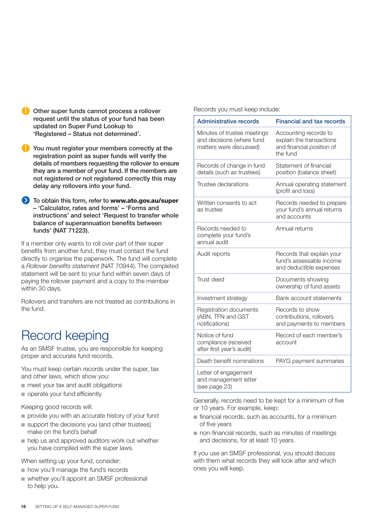- **Other super funds cannot process a rollover request until the status of your fund has been updated on Super Fund Lookup to 'Registered – Status not determined'.**
- **You must register your members correctly at the registration point as super funds will verify the details of members requesting the rollover to ensure they are a member of your fund. If the members are not registered or not registered correctly this may delay any rollovers into your fund.**
- **1** To obtain this form, refer to **www.ato.gov.au/super – 'Calculator, rates and forms' – 'Forms and instructions' and select 'Request to transfer whole balance of superannuation benefits between funds' (NAT 71223).**

If a member only wants to roll over part of their super benefits from another fund, they must contact the fund directly to organise the paperwork. The fund will complete a *Rollover benefits statement* (NAT 70944). The completed statement will be sent to your fund within seven days of paying the rollover payment and a copy to the member within 30 days.

Rollovers and transfers are not treated as contributions in the fund.

### Record keeping

As an SMSF trustee, you are responsible for keeping proper and accurate fund records.

You must keep certain records under the super, tax and other laws, which show you:

- meet your tax and audit obligations
- operate your fund efficiently.

Keeping good records will:

- provide you with an accurate history of your fund
- support the decisions you (and other trustees) make on the fund's behalf
- help us and approved auditors work out whether you have complied with the super laws.

When setting up your fund, consider:

- how you'll manage the fund's records
- whether you'll appoint an SMSF professional to help you.

Records you must keep include:

| <b>Administrative records</b>                                                       | <b>Financial and tax records</b>                                                           |
|-------------------------------------------------------------------------------------|--------------------------------------------------------------------------------------------|
| Minutes of trustee meetings<br>and decisions (where fund<br>matters were discussed) | Accounting records to<br>explain the transactions<br>and financial position of<br>the fund |
| Records of change in fund<br>details (such as trustees)                             | Statement of financial<br>position (balance sheet)                                         |
| Trustee declarations                                                                | Annual operating statement<br>(profit and loss)                                            |
| Written consents to act<br>as trustee                                               | Records needed to prepare<br>your fund's annual returns<br>and accounts                    |
| Records needed to<br>complete your fund's<br>annual audit                           | Annual returns                                                                             |
| Audit reports                                                                       | Records that explain your<br>fund's assessable income<br>and deductible expenses           |
| Trust deed                                                                          | Documents showing<br>ownership of fund assets                                              |
| Investment strategy                                                                 | Bank account statements                                                                    |
| Registration documents<br>(ABN, TFN and GST<br>notifications)                       | Records to show<br>contributions, rollovers<br>and payments to members                     |
| Notice of fund<br>compliance (received<br>after first year's audit)                 | Record of each member's<br>account                                                         |
| Death benefit nominations                                                           | PAYG payment summaries                                                                     |
| Letter of engagement<br>and management letter<br>(see page 23)                      |                                                                                            |

Generally, records need to be kept for a minimum of five or 10 years. For example, keep:

- financial records, such as accounts, for a minimum of five years
- non-financial records, such as minutes of meetings and decisions, for at least 10 years.

If you use an SMSF professional, you should discuss with them what records they will look after and which ones you will keep.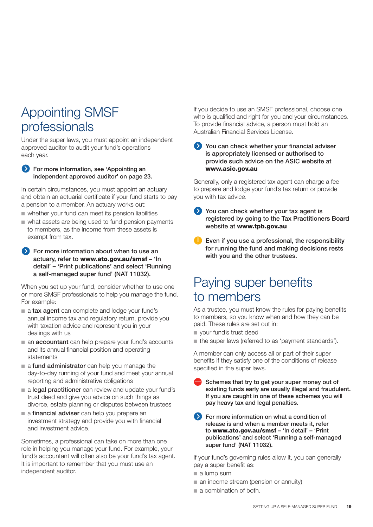### Appointing SMSF professionals

Under the super laws, you must appoint an independent approved auditor to audit your fund's operations each year.

**Example 3 For more information, see 'Appointing an independent approved auditor' on page 23.**

In certain circumstances, you must appoint an actuary and obtain an actuarial certificate if your fund starts to pay a pension to a member. An actuary works out:

- whether your fund can meet its pension liabilities
- what assets are being used to fund pension payments to members, as the income from these assets is exempt from tax.

#### **EXT** For more information about when to use an **actuary, refer to www.ato.gov.au/smsf – 'In detail' – 'Print publications' and select 'Running a self-managed super fund' (NAT 11032).**

When you set up your fund, consider whether to use one or more SMSF professionals to help you manage the fund. For example:

- a **tax agent** can complete and lodge your fund's annual income tax and regulatory return, provide you with taxation advice and represent you in your dealings with us
- an **accountant** can help prepare your fund's accounts and its annual financial position and operating statements
- a **fund administrator** can help you manage the day-to-day running of your fund and meet your annual reporting and administrative obligations
- a **legal practitioner** can review and update your fund's trust deed and give you advice on such things as divorce, estate planning or disputes between trustees
- a **financial adviser** can help you prepare an investment strategy and provide you with financial and investment advice.

Sometimes, a professional can take on more than one role in helping you manage your fund. For example, your fund's accountant will often also be your fund's tax agent. It is important to remember that you must use an independent auditor.

If you decide to use an SMSF professional, choose one who is qualified and right for you and your circumstances. To provide financial advice, a person must hold an Australian Financial Services License.

**You can check whether your financial adviser is appropriately licensed or authorised to provide such advice on the ASIC website at www.asic.gov.au**

Generally, only a registered tax agent can charge a fee to prepare and lodge your fund's tax return or provide you with tax advice.

- **You can check whether your tax agent is registered by going to the Tax Practitioners Board website at www.tpb.gov.au**
- **Even if you use a professional, the responsibility for running the fund and making decisions rests with you and the other trustees.**

### Paying super benefits to members

As a trustee, you must know the rules for paying benefits to members, so you know when and how they can be paid. These rules are set out in:

- your fund's trust deed
- the super laws (referred to as 'payment standards').

A member can only access all or part of their super benefits if they satisfy one of the conditions of release specified in the super laws.

- **Schemes that try to get your super money out of existing funds early are usually illegal and fraudulent. If you are caught in one of these schemes you will pay heavy tax and legal penalties.**
- **Example 3** For more information on what a condition of **release is and when a member meets it, refer to www.ato.gov.au/smsf – 'In detail' – 'Print publications' and select 'Running a self-managed super fund' (NAT 11032).**

If your fund's governing rules allow it, you can generally pay a super benefit as:

- a lump sum
- an income stream (pension or annuity)
- a combination of both.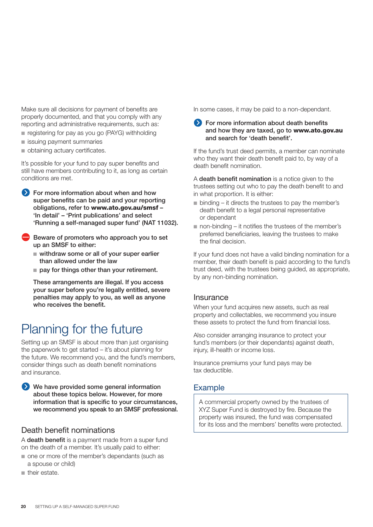Make sure all decisions for payment of benefits are properly documented, and that you comply with any reporting and administrative requirements, such as:

- registering for pay as you go (PAYG) withholding
- issuing payment summaries
- obtaining actuary certificates.

It's possible for your fund to pay super benefits and still have members contributing to it, as long as certain conditions are met.

**For more information about when and how super benefits can be paid and your reporting obligations, refer to www.ato.gov.au/smsf – 'In detail' – 'Print publications' and select 'Running a self-managed super fund' (NAT 11032).**

- **Beware of promoters who approach you to set up an SMSF to either:** 
	- withdraw some or all of your super earlier **than allowed under the law**
	- pay for things other than your retirement.

**These arrangements are illegal. If you access your super before you're legally entitled, severe penalties may apply to you, as well as anyone who receives the benefit.**

### Planning for the future

Setting up an SMSF is about more than just organising the paperwork to get started – it's about planning for the future. We recommend you, and the fund's members, consider things such as death benefit nominations and insurance.

**We have provided some general information about these topics below. However, for more information that is specific to your circumstances, we recommend you speak to an SMSF professional.**

#### Death benefit nominations

A **death benefit** is a payment made from a super fund on the death of a member. It's usually paid to either:

- one or more of the member's dependants (such as a spouse or child)
- their estate.

In some cases, it may be paid to a non-dependant.

#### **For more information about death benefits and how they are taxed, go to www.ato.gov.au and search for 'death benefit'.**

If the fund's trust deed permits, a member can nominate who they want their death benefit paid to, by way of a death benefit nomination.

A **death benefit nomination** is a notice given to the trustees setting out who to pay the death benefit to and in what proportion. It is either:

- binding it directs the trustees to pay the member's death benefit to a legal personal representative or dependant
- non-binding it notifies the trustees of the member's preferred beneficiaries, leaving the trustees to make the final decision.

If your fund does not have a valid binding nomination for a member, their death benefit is paid according to the fund's trust deed, with the trustees being guided, as appropriate, by any non-binding nomination.

#### **Insurance**

When your fund acquires new assets, such as real property and collectables, we recommend you insure these assets to protect the fund from financial loss.

Also consider arranging insurance to protect your fund's members (or their dependants) against death, injury, ill-health or income loss.

Insurance premiums your fund pays may be tax deductible.

#### Example

A commercial property owned by the trustees of XYZ Super Fund is destroyed by fire. Because the property was insured, the fund was compensated for its loss and the members' benefits were protected.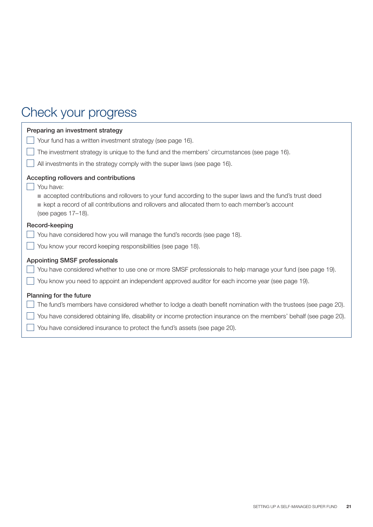### Check your progress

| Preparing an investment strategy<br>Your fund has a written investment strategy (see page 16).<br>The investment strategy is unique to the fund and the members' circumstances (see page 16).                                                                                                                                                                      |
|--------------------------------------------------------------------------------------------------------------------------------------------------------------------------------------------------------------------------------------------------------------------------------------------------------------------------------------------------------------------|
| All investments in the strategy comply with the super laws (see page 16).<br>Accepting rollovers and contributions<br>You have:<br>accepted contributions and rollovers to your fund according to the super laws and the fund's trust deed<br>e kept a record of all contributions and rollovers and allocated them to each member's account<br>(see pages 17-18). |
| Record-keeping<br>You have considered how you will manage the fund's records (see page 18).<br>You know your record keeping responsibilities (see page 18).                                                                                                                                                                                                        |
| <b>Appointing SMSF professionals</b><br>You have considered whether to use one or more SMSF professionals to help manage your fund (see page 19).<br>You know you need to appoint an independent approved auditor for each income year (see page 19).                                                                                                              |
| Planning for the future<br>The fund's members have considered whether to lodge a death benefit nomination with the trustees (see page 20).<br>You have considered obtaining life, disability or income protection insurance on the members' behalf (see page 20).<br>You have considered insurance to protect the fund's assets (see page 20).                     |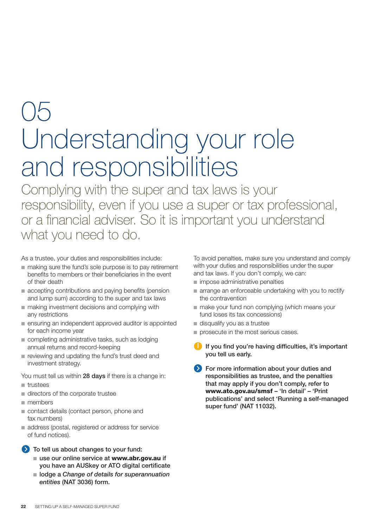## 05 Understanding your role and responsibilities

Complying with the super and tax laws is your responsibility, even if you use a super or tax professional, or a financial adviser. So it is important you understand what you need to do.

As a trustee, your duties and responsibilities include:

- making sure the fund's sole purpose is to pay retirement benefits to members or their beneficiaries in the event of their death
- accepting contributions and paying benefits (pension and lump sum) according to the super and tax laws
- making investment decisions and complying with any restrictions
- ensuring an independent approved auditor is appointed for each income year
- completing administrative tasks, such as lodging annual returns and record-keeping
- reviewing and updating the fund's trust deed and investment strategy.

You must tell us within **28 days** if there is a change in:

- trustees
- directors of the corporate trustee
- members
- contact details (contact person, phone and fax numbers)
- address (postal, registered or address for service of fund notices).
- **To tell us about changes to your fund:**
	- use our online service at **www.abr.gov.au** if **you have an AUSkey or ATO digital certificate**
	- lodge a *Change of details for superannuation entities* **(NAT 3036) form.**

To avoid penalties, make sure you understand and comply with your duties and responsibilities under the super and tax laws. If you don't comply, we can:

- impose administrative penalties
- arrange an enforceable undertaking with you to rectify the contravention
- make your fund non complying (which means your fund loses its tax concessions)
- disqualify you as a trustee
- **prosecute in the most serious cases.**
- **If you find you're having difficulties, it's important you tell us early.**
- **EXECUTE:** For more information about your duties and **responsibilities as trustee, and the penalties that may apply if you don't comply, refer to www.ato.gov.au/smsf – 'In detail' – 'Print publications' and select 'Running a self-managed super fund' (NAT 11032).**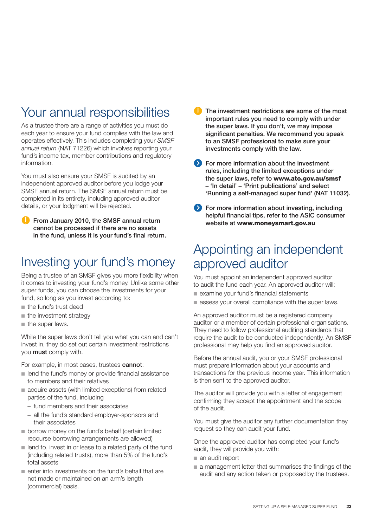### Your annual responsibilities

As a trustee there are a range of activities you must do each year to ensure your fund complies with the law and operates effectively. This includes completing your *SMSF annual return* (NAT 71226) which involves reporting your fund's income tax, member contributions and regulatory information.

You must also ensure your SMSF is audited by an independent approved auditor before you lodge your SMSF annual return. The SMSF annual return must be completed in its entirety, including approved auditor details, or your lodgment will be rejected.

**C** From January 2010, the SMSF annual return **cannot be processed if there are no assets in the fund, unless it is your fund's final return.**

### Investing your fund's money

Being a trustee of an SMSF gives you more flexibility when it comes to investing your fund's money. Unlike some other super funds, you can choose the investments for your fund, so long as you invest according to:

- the fund's trust deed
- the investment strategy
- the super laws.

While the super laws don't tell you what you can and can't invest in, they do set out certain investment restrictions you **must** comply with.

For example, in most cases, trustees **cannot**:

- lend the fund's money or provide financial assistance to members and their relatives
- acquire assets (with limited exceptions) from related parties of the fund, including
	- fund members and their associates
	- all the fund's standard employer-sponsors and their associates
- borrow money on the fund's behalf (certain limited recourse borrowing arrangements are allowed)
- lend to, invest in or lease to a related party of the fund (including related trusts), more than 5% of the fund's total assets
- enter into investments on the fund's behalf that are not made or maintained on an arm's length (commercial) basis.
- **The investment restrictions are some of the most important rules you need to comply with under the super laws. If you don't, we may impose significant penalties. We recommend you speak to an SMSF professional to make sure your investments comply with the law.**
- **Example 3** For more information about the investment **rules, including the limited exceptions under the super laws, refer to www.ato.gov.au/smsf – 'In detail' – 'Print publications' and select 'Running a self-managed super fund' (NAT 11032).**
- **For more information about investing, including helpful financial tips, refer to the ASIC consumer website at www.moneysmart.gov.au**

### Appointing an independent approved auditor

You must appoint an independent approved auditor to audit the fund each year. An approved auditor will:

- examine your fund's financial statements
- assess your overall compliance with the super laws.

An approved auditor must be a registered company auditor or a member of certain professional organisations. They need to follow professional auditing standards that require the audit to be conducted independently. An SMSF professional may help you find an approved auditor.

Before the annual audit, you or your SMSF professional must prepare information about your accounts and transactions for the previous income year. This information is then sent to the approved auditor.

The auditor will provide you with a letter of engagement confirming they accept the appointment and the scope of the audit.

You must give the auditor any further documentation they request so they can audit your fund.

Once the approved auditor has completed your fund's audit, they will provide you with:

- an audit report
- a management letter that summarises the findings of the audit and any action taken or proposed by the trustees.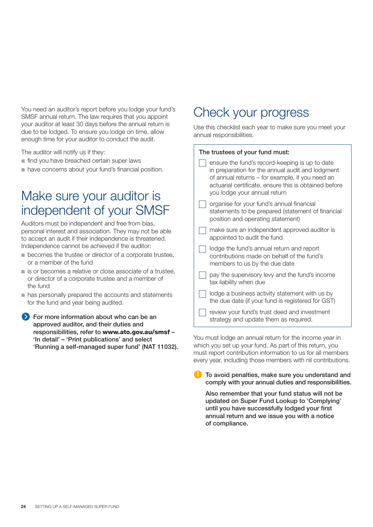You need an auditor's report before you lodge your fund's SMSF annual return. The law requires that you appoint your auditor at least 30 days before the annual return is due to be lodged. To ensure you lodge on time, allow enough time for your auditor to conduct the audit.

The auditor will notify us if they:

- find you have breached certain super laws
- have concerns about your fund's financial position.

### Make sure your auditor is independent of your SMSF

Auditors must be independent and free from bias, personal interest and association. They may not be able to accept an audit if their independence is threatened. Independence cannot be achieved if the auditor:

- becomes the trustee or director of a corporate trustee, or a member of the fund
- is or becomes a relative or close associate of a trustee, or director of a corporate trustee and a member of the fund
- has personally prepared the accounts and statements for the fund and year being audited.
- **Example 3 For more information about who can be an approved auditor, and their duties and responsibilities, refer to www.ato.gov.au/smsf – 'In detail' – 'Print publications' and select 'Running a self-managed super fund' (NAT 11032).**

### Check your progress

Use this checklist each year to make sure you meet your annual responsibilities.

#### **The trustees of your fund must:**

| ensure the fund's record-keeping is up to date<br>in preparation for the annual audit and lodgment<br>of annual returns – for example, if you need an<br>actuarial certificate, ensure this is obtained before<br>you lodge your annual return |
|------------------------------------------------------------------------------------------------------------------------------------------------------------------------------------------------------------------------------------------------|
| organise for your fund's annual financial<br>statements to be prepared (statement of financial<br>position and operating statement)                                                                                                            |
| make sure an independent approved auditor is<br>appointed to audit the fund                                                                                                                                                                    |
| lodge the fund's annual return and report<br>contributions made on behalf of the fund's<br>members to us by the due date                                                                                                                       |
| pay the supervisory levy and the fund's income<br>tax liability when due                                                                                                                                                                       |
| lodge a business activity statement with us by<br>the due date (if your fund is registered for GST)                                                                                                                                            |
| review your fund's trust deed and investment<br>strategy and update them as required.                                                                                                                                                          |

You must lodge an annual return for the income year in which you set up your fund. As part of this return, you must report contribution information to us for all members every year, including those members with nil contributions.

**To avoid penalties, make sure you understand and comply with your annual duties and responsibilities.**

 **Also remember that your fund status will not be updated on Super Fund Lookup to 'Complying' until you have successfully lodged your first annual return and we issue you with a notice of compliance.**